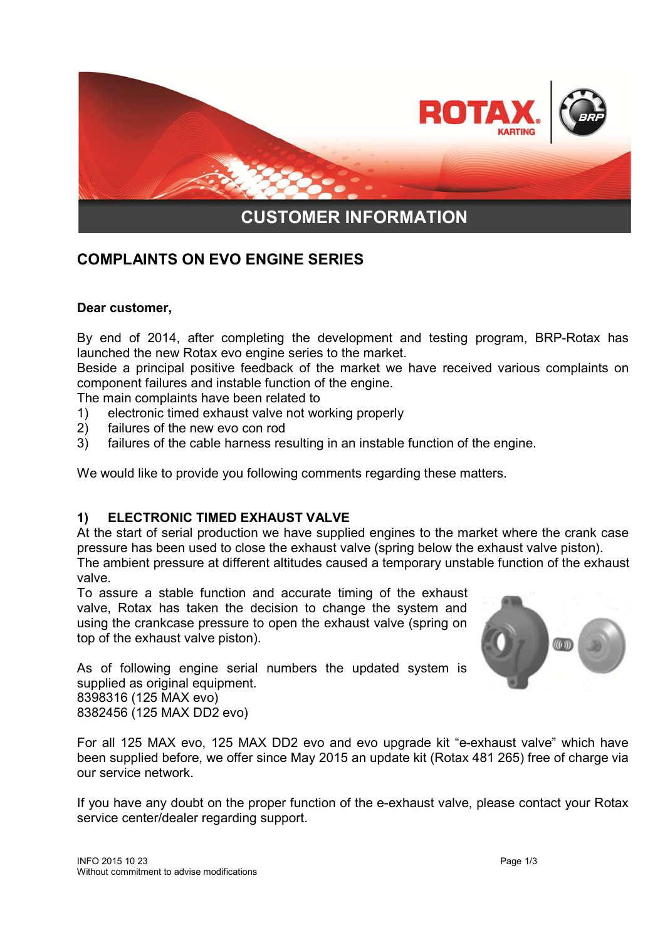

# **COMPLAINTS ON EVO ENGINE SERIES**

### **Dear customer,**

By end of 2014, after completing the development and testing program, BRP-Rotax has launched the new Rotax evo engine series to the market.

Beside a principal positive feedback of the market we have received various complaints on component failures and instable function of the engine.

The main complaints have been related to

- 1) electronic timed exhaust valve not working properly
- 2) failures of the new evo con rod
- 3) failures of the cable harness resulting in an instable function of the engine.

We would like to provide you following comments regarding these matters.

#### **1) ELECTRONIC TIMED EXHAUST VALVE**

At the start of serial production we have supplied engines to the market where the crank case pressure has been used to close the exhaust valve (spring below the exhaust valve piston). The ambient pressure at different altitudes caused a temporary unstable function of the exhaust valve.

To assure a stable function and accurate timing of the exhaust valve, Rotax has taken the decision to change the system and using the crankcase pressure to open the exhaust valve (spring on top of the exhaust valve piston).



As of following engine serial numbers the updated system is supplied as original equipment. 8398316 (125 MAX evo) 8382456 (125 MAX DD2 evo)

For all 125 MAX evo, 125 MAX DD2 evo and evo upgrade kit "e-exhaust valve" which have been supplied before, we offer since May 2015 an update kit (Rotax 481 265) free of charge via our service network.

If you have any doubt on the proper function of the e-exhaust valve, please contact your Rotax service center/dealer regarding support.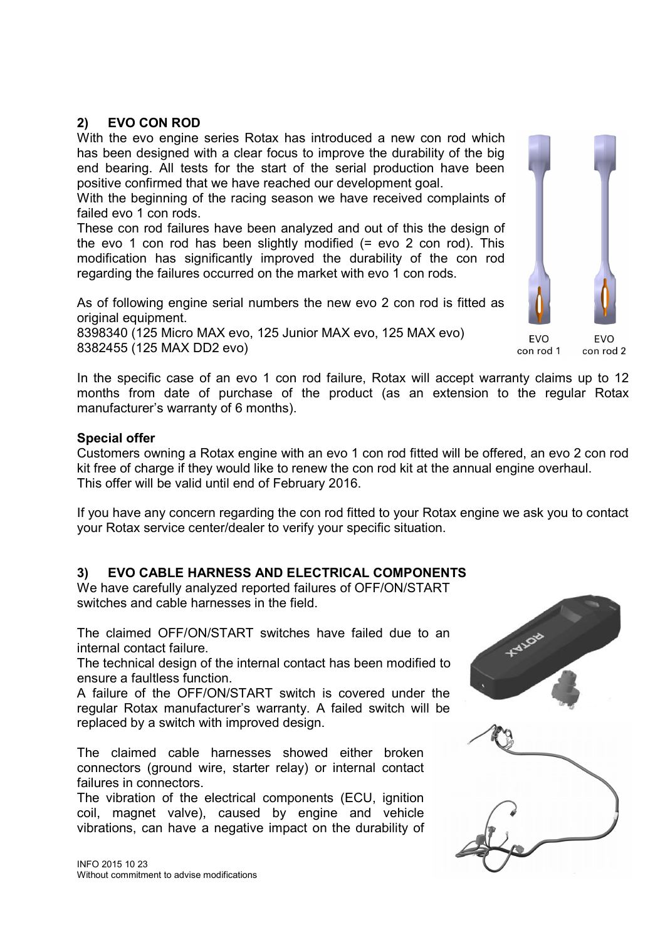## **2) EVO CON ROD**

With the evo engine series Rotax has introduced a new con rod which has been designed with a clear focus to improve the durability of the big end bearing. All tests for the start of the serial production have been positive confirmed that we have reached our development goal.

With the beginning of the racing season we have received complaints of failed evo 1 con rods.

These con rod failures have been analyzed and out of this the design of the evo 1 con rod has been slightly modified (= evo 2 con rod). This modification has significantly improved the durability of the con rod regarding the failures occurred on the market with evo 1 con rods.

As of following engine serial numbers the new evo 2 con rod is fitted as original equipment.

8398340 (125 Micro MAX evo, 125 Junior MAX evo, 125 MAX evo) 8382455 (125 MAX DD2 evo)

In the specific case of an evo 1 con rod failure, Rotax will accept warranty claims up to 12 months from date of purchase of the product (as an extension to the regular Rotax manufacturer's warranty of 6 months).

#### **Special offer**

Customers owning a Rotax engine with an evo 1 con rod fitted will be offered, an evo 2 con rod kit free of charge if they would like to renew the con rod kit at the annual engine overhaul. This offer will be valid until end of February 2016.

If you have any concern regarding the con rod fitted to your Rotax engine we ask you to contact your Rotax service center/dealer to verify your specific situation.

## **3) EVO CABLE HARNESS AND ELECTRICAL COMPONENTS**

We have carefully analyzed reported failures of OFF/ON/START switches and cable harnesses in the field.

The claimed OFF/ON/START switches have failed due to an internal contact failure.

The technical design of the internal contact has been modified to ensure a faultless function.

A failure of the OFF/ON/START switch is covered under the regular Rotax manufacturer's warranty. A failed switch will be replaced by a switch with improved design.

The claimed cable harnesses showed either broken connectors (ground wire, starter relay) or internal contact failures in connectors.

The vibration of the electrical components (ECU, ignition coil, magnet valve), caused by engine and vehicle vibrations, can have a negative impact on the durability of